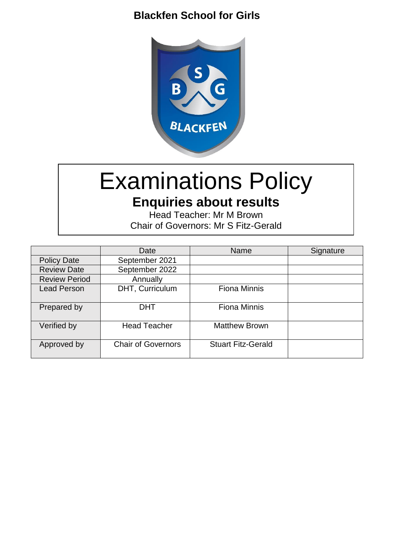# **Blackfen School for Girls**



# Examinations Policy

**Enquiries about results** Head Teacher: Mr M Brown

Chair of Governors: Mr S Fitz-Gerald

|                      | Date                      | Name                      | Signature |
|----------------------|---------------------------|---------------------------|-----------|
| <b>Policy Date</b>   | September 2021            |                           |           |
| <b>Review Date</b>   | September 2022            |                           |           |
| <b>Review Period</b> | Annually                  |                           |           |
| <b>Lead Person</b>   | DHT, Curriculum           | <b>Fiona Minnis</b>       |           |
|                      |                           |                           |           |
| Prepared by          | <b>DHT</b>                | <b>Fiona Minnis</b>       |           |
|                      |                           |                           |           |
| Verified by          | <b>Head Teacher</b>       | <b>Matthew Brown</b>      |           |
|                      |                           |                           |           |
| Approved by          | <b>Chair of Governors</b> | <b>Stuart Fitz-Gerald</b> |           |
|                      |                           |                           |           |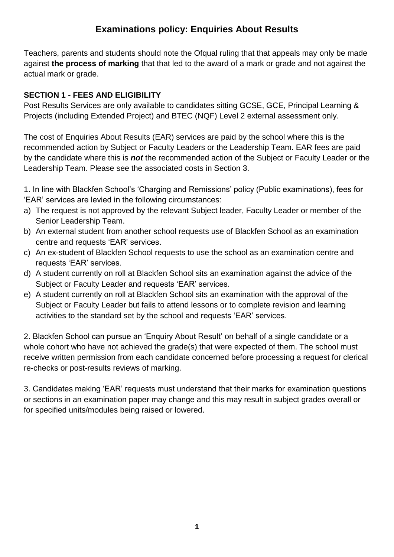## **Examinations policy: Enquiries About Results**

Teachers, parents and students should note the Ofqual ruling that that appeals may only be made against **the process of marking** that that led to the award of a mark or grade and not against the actual mark or grade.

#### **SECTION 1 - FEES AND ELIGIBILITY**

Post Results Services are only available to candidates sitting GCSE, GCE, Principal Learning & Projects (including Extended Project) and BTEC (NQF) Level 2 external assessment only.

The cost of Enquiries About Results (EAR) services are paid by the school where this is the recommended action by Subject or Faculty Leaders or the Leadership Team. EAR fees are paid by the candidate where this is *not* the recommended action of the Subject or Faculty Leader or the Leadership Team. Please see the associated costs in Section 3.

1. In line with Blackfen School's 'Charging and Remissions' policy (Public examinations), fees for 'EAR' services are levied in the following circumstances:

- a) The request is not approved by the relevant Subject leader, Faculty Leader or member of the Senior Leadership Team.
- b) An external student from another school requests use of Blackfen School as an examination centre and requests 'EAR' services.
- c) An ex-student of Blackfen School requests to use the school as an examination centre and requests 'EAR' services.
- d) A student currently on roll at Blackfen School sits an examination against the advice of the Subject or Faculty Leader and requests 'EAR' services.
- e) A student currently on roll at Blackfen School sits an examination with the approval of the Subject or Faculty Leader but fails to attend lessons or to complete revision and learning activities to the standard set by the school and requests 'EAR' services.

2. Blackfen School can pursue an 'Enquiry About Result' on behalf of a single candidate or a whole cohort who have not achieved the grade(s) that were expected of them. The school must receive written permission from each candidate concerned before processing a request for clerical re-checks or post-results reviews of marking.

3. Candidates making 'EAR' requests must understand that their marks for examination questions or sections in an examination paper may change and this may result in subject grades overall or for specified units/modules being raised or lowered.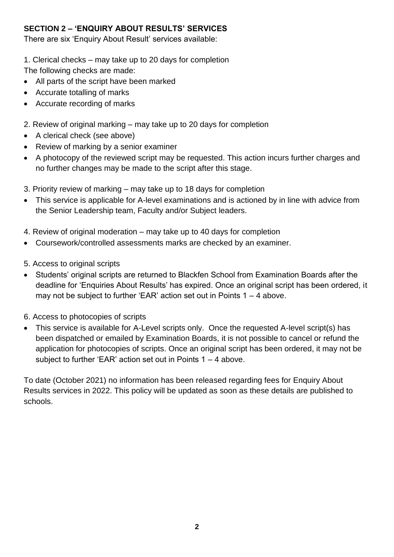#### **SECTION 2 – 'ENQUIRY ABOUT RESULTS' SERVICES**

There are six 'Enquiry About Result' services available:

1. Clerical checks – may take up to 20 days for completion

The following checks are made:

- All parts of the script have been marked
- Accurate totalling of marks
- Accurate recording of marks
- 2. Review of original marking may take up to 20 days for completion
- A clerical check (see above)
- Review of marking by a senior examiner
- A photocopy of the reviewed script may be requested. This action incurs further charges and no further changes may be made to the script after this stage.
- 3. Priority review of marking may take up to 18 days for completion
- This service is applicable for A-level examinations and is actioned by in line with advice from the Senior Leadership team, Faculty and/or Subject leaders.
- 4. Review of original moderation may take up to 40 days for completion
- Coursework/controlled assessments marks are checked by an examiner.
- 5. Access to original scripts
- Students' original scripts are returned to Blackfen School from Examination Boards after the deadline for 'Enquiries About Results' has expired. Once an original script has been ordered, it may not be subject to further 'EAR' action set out in Points 1 – 4 above.
- 6. Access to photocopies of scripts
- This service is available for A-Level scripts only. Once the requested A-level script(s) has been dispatched or emailed by Examination Boards, it is not possible to cancel or refund the application for photocopies of scripts. Once an original script has been ordered, it may not be subject to further 'EAR' action set out in Points 1 – 4 above.

To date (October 2021) no information has been released regarding fees for Enquiry About Results services in 2022. This policy will be updated as soon as these details are published to schools.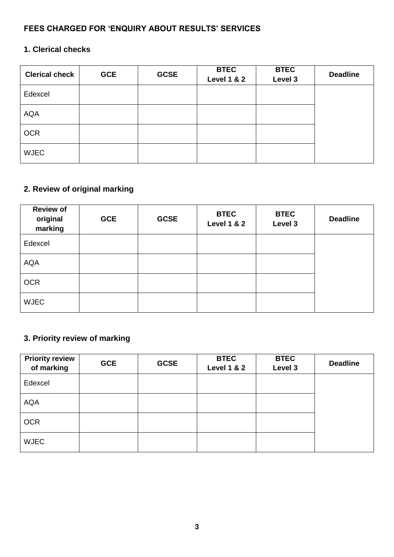#### **FEES CHARGED FOR 'ENQUIRY ABOUT RESULTS' SERVICES**

## **1. Clerical checks**

| <b>Clerical check</b> | <b>GCE</b> | <b>GCSE</b> | <b>BTEC</b><br><b>Level 1 &amp; 2</b> | <b>BTEC</b><br>Level 3 | <b>Deadline</b> |
|-----------------------|------------|-------------|---------------------------------------|------------------------|-----------------|
| Edexcel               |            |             |                                       |                        |                 |
| <b>AQA</b>            |            |             |                                       |                        |                 |
| <b>OCR</b>            |            |             |                                       |                        |                 |
| <b>WJEC</b>           |            |             |                                       |                        |                 |

## **2. Review of original marking**

| <b>Review of</b><br>original<br>marking | <b>GCE</b> | <b>GCSE</b> | <b>BTEC</b><br><b>Level 1 &amp; 2</b> | <b>BTEC</b><br>Level 3 | <b>Deadline</b> |
|-----------------------------------------|------------|-------------|---------------------------------------|------------------------|-----------------|
| Edexcel                                 |            |             |                                       |                        |                 |
| <b>AQA</b>                              |            |             |                                       |                        |                 |
| <b>OCR</b>                              |            |             |                                       |                        |                 |
| <b>WJEC</b>                             |            |             |                                       |                        |                 |

## **3. Priority review of marking**

| <b>Priority review</b><br>of marking | <b>GCE</b> | <b>GCSE</b> | <b>BTEC</b><br><b>Level 1 &amp; 2</b> | <b>BTEC</b><br>Level 3 | <b>Deadline</b> |
|--------------------------------------|------------|-------------|---------------------------------------|------------------------|-----------------|
| Edexcel                              |            |             |                                       |                        |                 |
| <b>AQA</b>                           |            |             |                                       |                        |                 |
| <b>OCR</b>                           |            |             |                                       |                        |                 |
| <b>WJEC</b>                          |            |             |                                       |                        |                 |